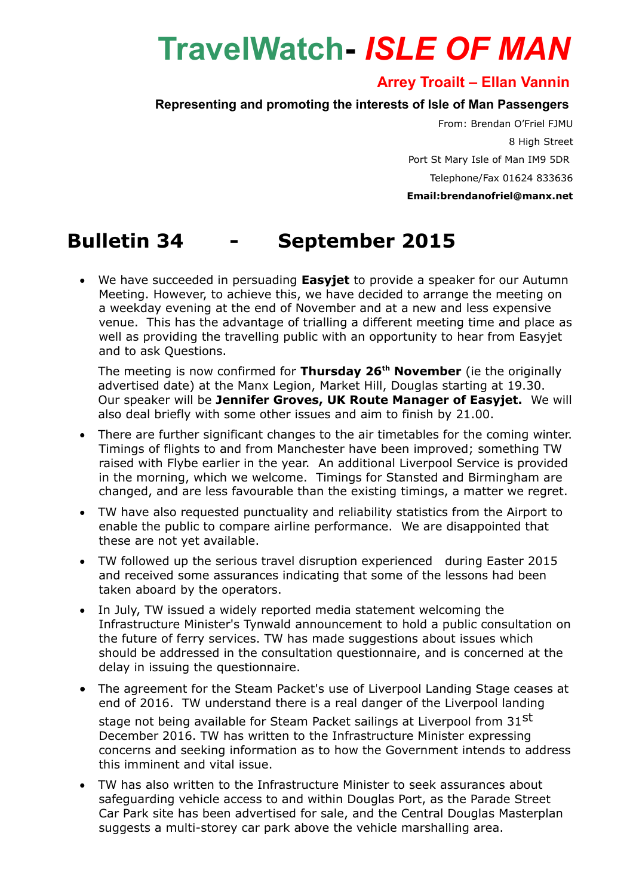## **TravelWatch-** *ISLE OF MAN*

## **Arrey Troailt – Ellan Vannin**

## **Representing and promoting the interests of Isle of Man Passengers**

From: Brendan O'Friel FJMU 8 High Street Port St Mary Isle of Man IM9 5DR Telephone/Fax 01624 833636 **Email:brendanofriel@manx.net**

## **Bulletin 34 - September 2015**

 We have succeeded in persuading **Easyjet** to provide a speaker for our Autumn Meeting. However, to achieve this, we have decided to arrange the meeting on a weekday evening at the end of November and at a new and less expensive venue. This has the advantage of trialling a different meeting time and place as well as providing the travelling public with an opportunity to hear from Easyjet and to ask Questions.

The meeting is now confirmed for **Thursday 26th November** (ie the originally advertised date) at the Manx Legion, Market Hill, Douglas starting at 19.30. Our speaker will be **Jennifer Groves, UK Route Manager of Easyjet.** We will also deal briefly with some other issues and aim to finish by 21.00.

- There are further significant changes to the air timetables for the coming winter. Timings of flights to and from Manchester have been improved; something TW raised with Flybe earlier in the year. An additional Liverpool Service is provided in the morning, which we welcome. Timings for Stansted and Birmingham are changed, and are less favourable than the existing timings, a matter we regret.
- TW have also requested punctuality and reliability statistics from the Airport to enable the public to compare airline performance. We are disappointed that these are not yet available.
- TW followed up the serious travel disruption experienced during Easter 2015 and received some assurances indicating that some of the lessons had been taken aboard by the operators.
- In July, TW issued a widely reported media statement welcoming the Infrastructure Minister's Tynwald announcement to hold a public consultation on the future of ferry services. TW has made suggestions about issues which should be addressed in the consultation questionnaire, and is concerned at the delay in issuing the questionnaire.
- The agreement for the Steam Packet's use of Liverpool Landing Stage ceases at end of 2016. TW understand there is a real danger of the Liverpool landing stage not being available for Steam Packet sailings at Liverpool from 31<sup>st</sup> December 2016. TW has written to the Infrastructure Minister expressing concerns and seeking information as to how the Government intends to address this imminent and vital issue.
- TW has also written to the Infrastructure Minister to seek assurances about safeguarding vehicle access to and within Douglas Port, as the Parade Street Car Park site has been advertised for sale, and the Central Douglas Masterplan suggests a multi-storey car park above the vehicle marshalling area.